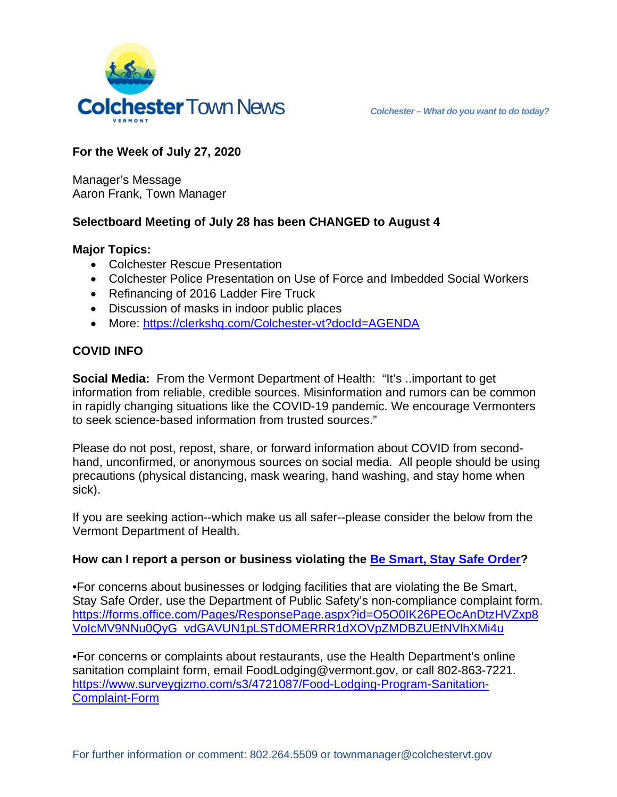

# **For the Week of July 27, 2020**

Manager's Message Aaron Frank, Town Manager

# **Selectboard Meeting of July 28 has been CHANGED to August 4**

#### **Major Topics:**

- Colchester Rescue Presentation
- Colchester Police Presentation on Use of Force and Imbedded Social Workers
- Refinancing of 2016 Ladder Fire Truck
- Discussion of masks in indoor public places
- More: <https://clerkshq.com/Colchester-vt?docId=AGENDA>

# **COVID INFO**

**Social Media:** From the Vermont Department of Health: "It's ..important to get information from reliable, credible sources. Misinformation and rumors can be common in rapidly changing situations like the COVID-19 pandemic. We encourage Vermonters to seek science-based information from trusted sources."

Please do not post, repost, share, or forward information about COVID from secondhand, unconfirmed, or anonymous sources on social media. All people should be using precautions (physical distancing, mask wearing, hand washing, and stay home when sick).

If you are seeking action--which make us all safer--please consider the below from the Vermont Department of Health.

### **How can I report a person or business violating the [Be Smart, Stay Safe Order?](https://governor.vermont.gov/sites/scott/files/documents/ADDENDUM%2014%20TO%20EXECUTIVE%20ORDER%2001-20.pdf)**

•For concerns about businesses or lodging facilities that are violating the Be Smart, Stay Safe Order, use the Department of Public Safety's non-compliance complaint form. [https://forms.office.com/Pages/ResponsePage.aspx?id=O5O0IK26PEOcAnDtzHVZxp8](https://forms.office.com/Pages/ResponsePage.aspx?id=O5O0IK26PEOcAnDtzHVZxp8VoIcMV9NNu0QyG_vdGAVUN1pLSTdOMERRR1dXOVpZMDBZUEtNVlhXMi4u) [VoIcMV9NNu0QyG\\_vdGAVUN1pLSTdOMERRR1dXOVpZMDBZUEtNVlhXMi4u](https://forms.office.com/Pages/ResponsePage.aspx?id=O5O0IK26PEOcAnDtzHVZxp8VoIcMV9NNu0QyG_vdGAVUN1pLSTdOMERRR1dXOVpZMDBZUEtNVlhXMi4u)

•For concerns or complaints about restaurants, use the Health Department's online sanitation complaint form, email FoodLodging@vermont.gov, or call 802-863-7221. [https://www.surveygizmo.com/s3/4721087/Food-Lodging-Program-Sanitation-](https://www.surveygizmo.com/s3/4721087/Food-Lodging-Program-Sanitation-Complaint-Form)[Complaint-Form](https://www.surveygizmo.com/s3/4721087/Food-Lodging-Program-Sanitation-Complaint-Form)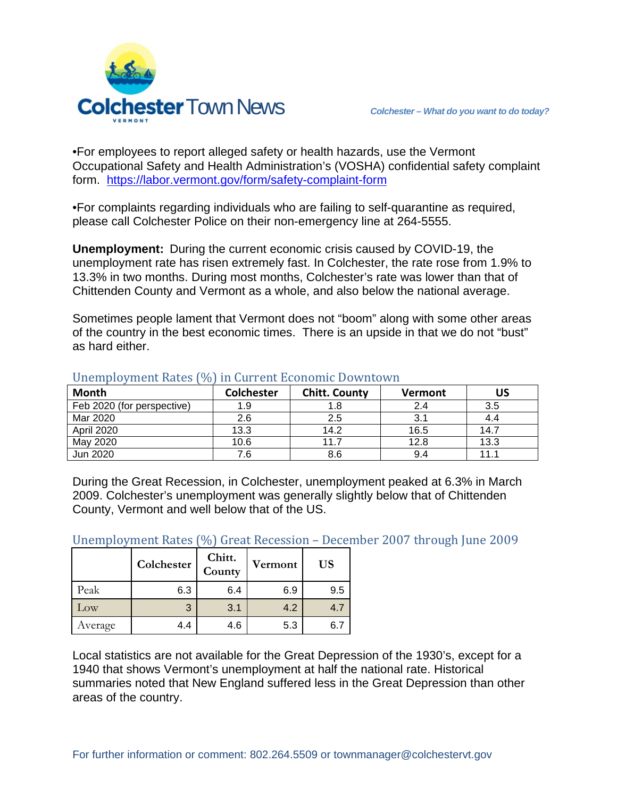

•For employees to report alleged safety or health hazards, use the Vermont Occupational Safety and Health Administration's (VOSHA) confidential safety complaint form. <https://labor.vermont.gov/form/safety-complaint-form>

•For complaints regarding individuals who are failing to self-quarantine as required, please call Colchester Police on their non-emergency line at 264-5555.

**Unemployment:** During the current economic crisis caused by COVID-19, the unemployment rate has risen extremely fast. In Colchester, the rate rose from 1.9% to 13.3% in two months. During most months, Colchester's rate was lower than that of Chittenden County and Vermont as a whole, and also below the national average.

Sometimes people lament that Vermont does not "boom" along with some other areas of the country in the best economic times. There is an upside in that we do not "bust" as hard either.

| <b>Month</b>               | <b>Colchester</b> | <b>Chitt. County</b> | <b>Vermont</b> | US   |
|----------------------------|-------------------|----------------------|----------------|------|
| Feb 2020 (for perspective) | 1.9               | 1.8                  | 2.4            | 3.5  |
| Mar 2020                   | 2.6               | 2.5                  | 3.1            |      |
| April 2020                 | 13.3              | 14.2                 | 16.5           | 14.7 |
| May 2020                   | 10.6              | 11.7                 | 12.8           | 13.3 |
| Jun 2020                   | 7.6               | 8.6                  | 9.4            | 11.1 |

#### Unemployment Rates (%) in Current Economic Downtown

During the Great Recession, in Colchester, unemployment peaked at 6.3% in March 2009. Colchester's unemployment was generally slightly below that of Chittenden County, Vermont and well below that of the US.

Unemployment Rates (%) Great Recession – December 2007 through June 2009

|                 | Colchester | Chitt.<br>County | Vermont | <b>US</b> |
|-----------------|------------|------------------|---------|-----------|
| Peak            | 6.3        | 6.4              | 6.9     | 9.5       |
| $_{\text{LOW}}$ | 3          | 3.1              | 4.2     | 4.7       |
| Average         | 4.4        | 4.6              | 5.3     |           |

Local statistics are not available for the Great Depression of the 1930's, except for a 1940 that shows Vermont's unemployment at half the national rate. Historical summaries noted that New England suffered less in the Great Depression than other areas of the country.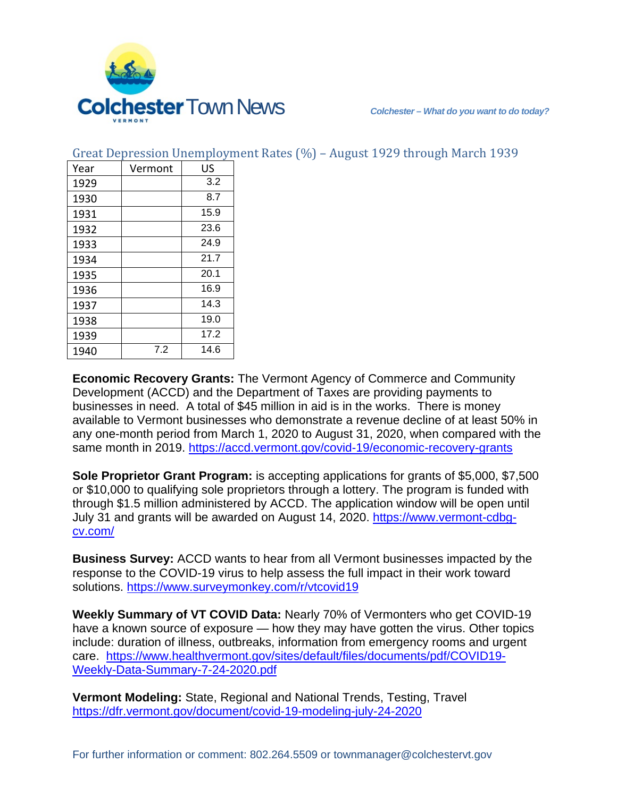

| Year | Vermont | US   |
|------|---------|------|
| 1929 |         | 3.2  |
| 1930 |         | 8.7  |
| 1931 |         | 15.9 |
| 1932 |         | 23.6 |
| 1933 |         | 24.9 |
| 1934 |         | 21.7 |
| 1935 |         | 20.1 |
| 1936 |         | 16.9 |
| 1937 |         | 14.3 |
| 1938 |         | 19.0 |
| 1939 |         | 17.2 |
| 1940 | 7.2     | 14.6 |

Great Depression Unemployment Rates (%) – August 1929 through March 1939

**Economic Recovery Grants:** The Vermont Agency of Commerce and Community Development (ACCD) and the Department of Taxes are providing payments to businesses in need. A total of \$45 million in aid is in the works. There is money available to Vermont businesses who demonstrate a revenue decline of at least 50% in any one-month period from March 1, 2020 to August 31, 2020, when compared with the same month in 2019.<https://accd.vermont.gov/covid-19/economic-recovery-grants>

**Sole Proprietor Grant Program:** is accepting applications for grants of \$5,000, \$7,500 or \$10,000 to qualifying sole proprietors through a lottery. The program is funded with through \$1.5 million administered by ACCD. The application window will be open until July 31 and grants will be awarded on August 14, 2020. [https://www.vermont-cdbg](https://www.vermont-cdbg-cv.com/)[cv.com/](https://www.vermont-cdbg-cv.com/)

**Business Survey:** ACCD wants to hear from all Vermont businesses impacted by the response to the COVID-19 virus to help assess the full impact in their work toward solutions. <https://www.surveymonkey.com/r/vtcovid19>

**Weekly Summary of VT COVID Data:** Nearly 70% of Vermonters who get COVID-19 have a known source of exposure — how they may have gotten the virus. Other topics include: duration of illness, outbreaks, information from emergency rooms and urgent care. [https://www.healthvermont.gov/sites/default/files/documents/pdf/COVID19-](https://www.healthvermont.gov/sites/default/files/documents/pdf/COVID19-Weekly-Data-Summary-7-24-2020.pdf) [Weekly-Data-Summary-7-24-2020.pdf](https://www.healthvermont.gov/sites/default/files/documents/pdf/COVID19-Weekly-Data-Summary-7-24-2020.pdf)

**Vermont Modeling:** State, Regional and National Trends, Testing, Travel <https://dfr.vermont.gov/document/covid-19-modeling-july-24-2020>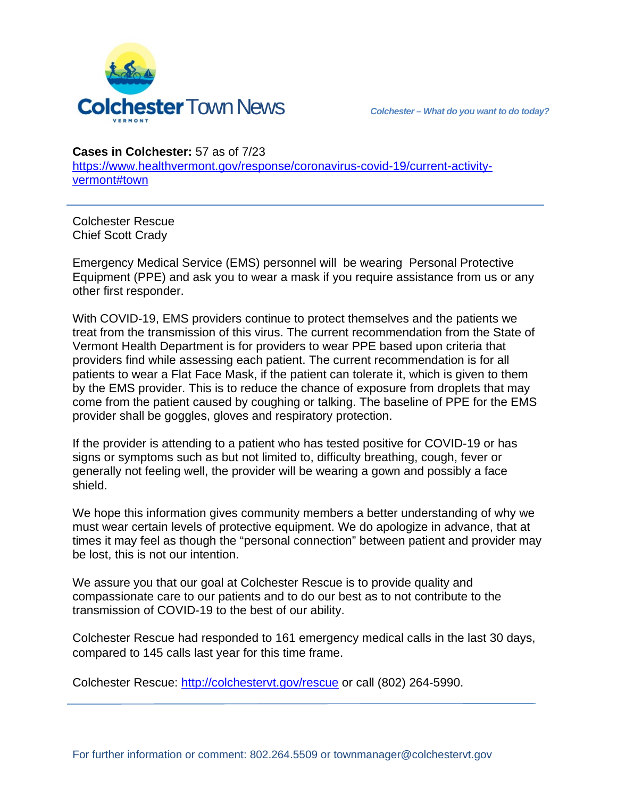

**Cases in Colchester:** 57 as of 7/23

[https://www.healthvermont.gov/response/coronavirus-covid-19/current-activity](https://www.healthvermont.gov/response/coronavirus-covid-19/current-activity-vermont#town)[vermont#town](https://www.healthvermont.gov/response/coronavirus-covid-19/current-activity-vermont#town)

Colchester Rescue Chief Scott Crady

Emergency Medical Service (EMS) personnel will be wearing Personal Protective Equipment (PPE) and ask you to wear a mask if you require assistance from us or any other first responder.

With COVID-19, EMS providers continue to protect themselves and the patients we treat from the transmission of this virus. The current recommendation from the State of Vermont Health Department is for providers to wear PPE based upon criteria that providers find while assessing each patient. The current recommendation is for all patients to wear a Flat Face Mask, if the patient can tolerate it, which is given to them by the EMS provider. This is to reduce the chance of exposure from droplets that may come from the patient caused by coughing or talking. The baseline of PPE for the EMS provider shall be goggles, gloves and respiratory protection.

If the provider is attending to a patient who has tested positive for COVID-19 or has signs or symptoms such as but not limited to, difficulty breathing, cough, fever or generally not feeling well, the provider will be wearing a gown and possibly a face shield.

We hope this information gives community members a better understanding of why we must wear certain levels of protective equipment. We do apologize in advance, that at times it may feel as though the "personal connection" between patient and provider may be lost, this is not our intention.

We assure you that our goal at Colchester Rescue is to provide quality and compassionate care to our patients and to do our best as to not contribute to the transmission of COVID-19 to the best of our ability.

Colchester Rescue had responded to 161 emergency medical calls in the last 30 days, compared to 145 calls last year for this time frame.

Colchester Rescue: [http://colchestervt.gov/rescue](http://colchestervt.gov/rescue/index.shtml) or call (802) 264-5990.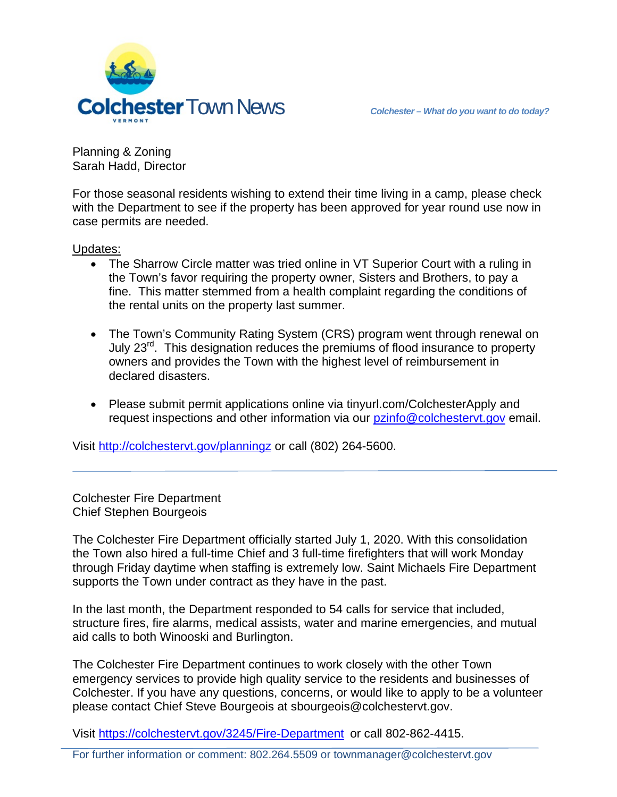

Planning & Zoning Sarah Hadd, Director

For those seasonal residents wishing to extend their time living in a camp, please check with the Department to see if the property has been approved for year round use now in case permits are needed.

Updates:

- The Sharrow Circle matter was tried online in VT Superior Court with a ruling in the Town's favor requiring the property owner, Sisters and Brothers, to pay a fine. This matter stemmed from a health complaint regarding the conditions of the rental units on the property last summer.
- The Town's Community Rating System (CRS) program went through renewal on July 23<sup>rd</sup>. This designation reduces the premiums of flood insurance to property owners and provides the Town with the highest level of reimbursement in declared disasters.
- Please submit permit applications online via tinyurl.com/ColchesterApply and request inspections and other information via our [pzinfo@colchestervt.gov](mailto:pzinfo@colchestervt.gov) email.

Visit<http://colchestervt.gov/planningz> or call (802) 264-5600.

Colchester Fire Department Chief Stephen Bourgeois

The Colchester Fire Department officially started July 1, 2020. With this consolidation the Town also hired a full-time Chief and 3 full-time firefighters that will work Monday through Friday daytime when staffing is extremely low. Saint Michaels Fire Department supports the Town under contract as they have in the past.

In the last month, the Department responded to 54 calls for service that included, structure fires, fire alarms, medical assists, water and marine emergencies, and mutual aid calls to both Winooski and Burlington.

The Colchester Fire Department continues to work closely with the other Town emergency services to provide high quality service to the residents and businesses of Colchester. If you have any questions, concerns, or would like to apply to be a volunteer please contact Chief Steve Bourgeois at sbourgeois@colchestervt.gov.

Visit<https://colchestervt.gov/3245/Fire-Department> or call 802-862-4415.